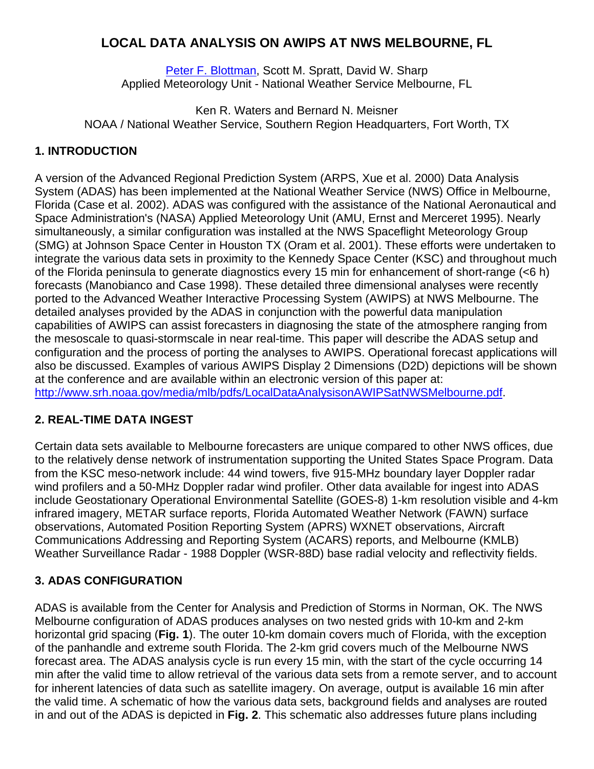# **LOCAL DATA ANALYSIS ON AWIPS AT NWS MELBOURNE, FL**

Peter F. Blottman, Scott M. Spratt, David W. Sharp Applied Meteorology Unit - National Weather Service Melbourne, FL

Ken R. Waters and Bernard N. Meisner NOAA / National Weather Service, Southern Region Headquarters, Fort Worth, TX

## **1. INTRODUCTION**

A version of the Advanced Regional Prediction System (ARPS, Xue et al. 2000) Data Analysis System (ADAS) has been implemented at the National Weather Service (NWS) Office in Melbourne, Florida (Case et al. 2002). ADAS was configured with the assistance of the National Aeronautical and Space Administration's (NASA) Applied Meteorology Unit (AMU, Ernst and Merceret 1995). Nearly simultaneously, a similar configuration was installed at the NWS Spaceflight Meteorology Group (SMG) at Johnson Space Center in Houston TX (Oram et al. 2001). These efforts were undertaken to integrate the various data sets in proximity to the Kennedy Space Center (KSC) and throughout much of the Florida peninsula to generate diagnostics every 15 min for enhancement of short-range (<6 h) forecasts (Manobianco and Case 1998). These detailed three dimensional analyses were recently ported to the Advanced Weather Interactive Processing System (AWIPS) at NWS Melbourne. The detailed analyses provided by the ADAS in conjunction with the powerful data manipulation capabilities of AWIPS can assist forecasters in diagnosing the state of the atmosphere ranging from the mesoscale to quasi-stormscale in near real-time. This paper will describe the ADAS setup and configuration and the process of porting the analyses to AWIPS. Operational forecast applications will also be discussed. Examples of various AWIPS Display 2 Dimensions (D2D) depictions will be shown at the conference and are available within an electronic version of this paper at: http://www.srh.noaa.gov/media/mlb/pdfs/LocalDataAnalysisonAWIPSatNWSMelbourne.pdf.

## **2. REAL-TIME DATA INGEST**

Certain data sets available to Melbourne forecasters are unique compared to other NWS offices, due to the relatively dense network of instrumentation supporting the United States Space Program. Data from the KSC meso-network include: 44 wind towers, five 915-MHz boundary layer Doppler radar wind profilers and a 50-MHz Doppler radar wind profiler. Other data available for ingest into ADAS include Geostationary Operational Environmental Satellite (GOES-8) 1-km resolution visible and 4-km infrared imagery, METAR surface reports, Florida Automated Weather Network (FAWN) surface observations, Automated Position Reporting System (APRS) WXNET observations, Aircraft Communications Addressing and Reporting System (ACARS) reports, and Melbourne (KMLB) Weather Surveillance Radar - 1988 Doppler (WSR-88D) base radial velocity and reflectivity fields.

## **3. ADAS CONFIGURATION**

ADAS is available from the Center for Analysis and Prediction of Storms in Norman, OK. The NWS Melbourne configuration of ADAS produces analyses on two nested grids with 10-km and 2-km horizontal grid spacing (**Fig. 1**). The outer 10-km domain covers much of Florida, with the exception of the panhandle and extreme south Florida. The 2-km grid covers much of the Melbourne NWS forecast area. The ADAS analysis cycle is run every 15 min, with the start of the cycle occurring 14 min after the valid time to allow retrieval of the various data sets from a remote server, and to account for inherent latencies of data such as satellite imagery. On average, output is available 16 min after the valid time. A schematic of how the various data sets, background fields and analyses are routed in and out of the ADAS is depicted in **Fig. 2**. This schematic also addresses future plans including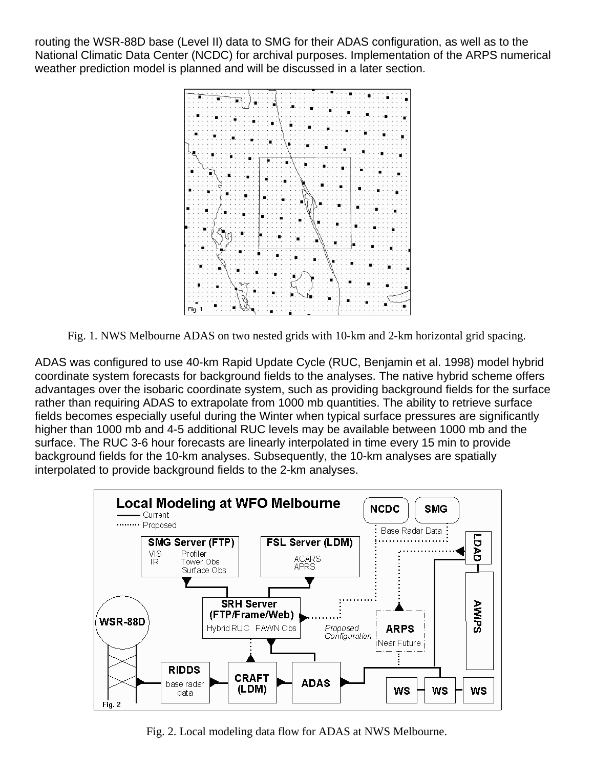routing the WSR-88D base (Level II) data to SMG for their ADAS configuration, as well as to the National Climatic Data Center (NCDC) for archival purposes. Implementation of the ARPS numerical weather prediction model is planned and will be discussed in a later section.



Fig. 1. NWS Melbourne ADAS on two nested grids with 10-km and 2-km horizontal grid spacing.

ADAS was configured to use 40-km Rapid Update Cycle (RUC, Benjamin et al. 1998) model hybrid coordinate system forecasts for background fields to the analyses. The native hybrid scheme offers advantages over the isobaric coordinate system, such as providing background fields for the surface rather than requiring ADAS to extrapolate from 1000 mb quantities. The ability to retrieve surface fields becomes especially useful during the Winter when typical surface pressures are significantly higher than 1000 mb and 4-5 additional RUC levels may be available between 1000 mb and the surface. The RUC 3-6 hour forecasts are linearly interpolated in time every 15 min to provide background fields for the 10-km analyses. Subsequently, the 10-km analyses are spatially interpolated to provide background fields to the 2-km analyses.



Fig. 2. Local modeling data flow for ADAS at NWS Melbourne.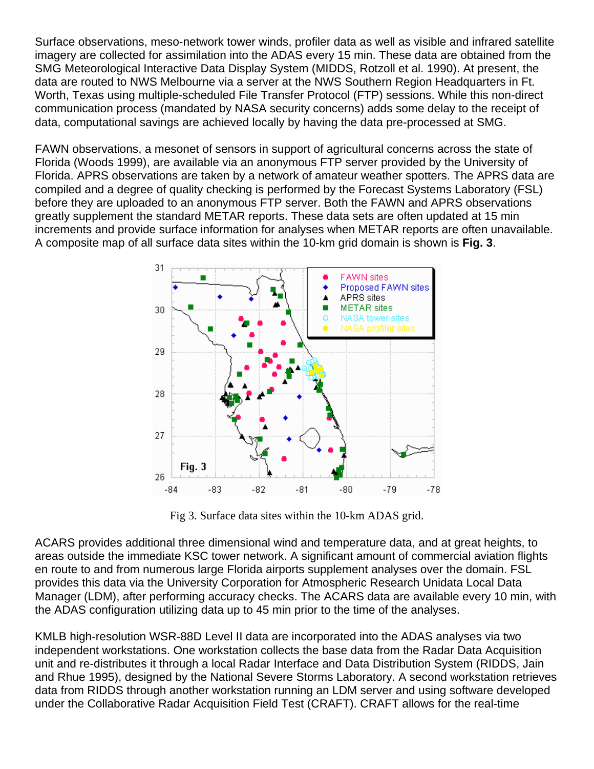Surface observations, meso-network tower winds, profiler data as well as visible and infrared satellite imagery are collected for assimilation into the ADAS every 15 min. These data are obtained from the SMG Meteorological Interactive Data Display System (MIDDS, Rotzoll et al. 1990). At present, the data are routed to NWS Melbourne via a server at the NWS Southern Region Headquarters in Ft. Worth, Texas using multiple-scheduled File Transfer Protocol (FTP) sessions. While this non-direct communication process (mandated by NASA security concerns) adds some delay to the receipt of data, computational savings are achieved locally by having the data pre-processed at SMG.

FAWN observations, a mesonet of sensors in support of agricultural concerns across the state of Florida (Woods 1999), are available via an anonymous FTP server provided by the University of Florida. APRS observations are taken by a network of amateur weather spotters. The APRS data are compiled and a degree of quality checking is performed by the Forecast Systems Laboratory (FSL) before they are uploaded to an anonymous FTP server. Both the FAWN and APRS observations greatly supplement the standard METAR reports. These data sets are often updated at 15 min increments and provide surface information for analyses when METAR reports are often unavailable. A composite map of all surface data sites within the 10-km grid domain is shown is **Fig. 3**.



Fig 3. Surface data sites within the 10-km ADAS grid.

ACARS provides additional three dimensional wind and temperature data, and at great heights, to areas outside the immediate KSC tower network. A significant amount of commercial aviation flights en route to and from numerous large Florida airports supplement analyses over the domain. FSL provides this data via the University Corporation for Atmospheric Research Unidata Local Data Manager (LDM), after performing accuracy checks. The ACARS data are available every 10 min, with the ADAS configuration utilizing data up to 45 min prior to the time of the analyses.

KMLB high-resolution WSR-88D Level II data are incorporated into the ADAS analyses via two independent workstations. One workstation collects the base data from the Radar Data Acquisition unit and re-distributes it through a local Radar Interface and Data Distribution System (RIDDS, Jain and Rhue 1995), designed by the National Severe Storms Laboratory. A second workstation retrieves data from RIDDS through another workstation running an LDM server and using software developed under the Collaborative Radar Acquisition Field Test (CRAFT). CRAFT allows for the real-time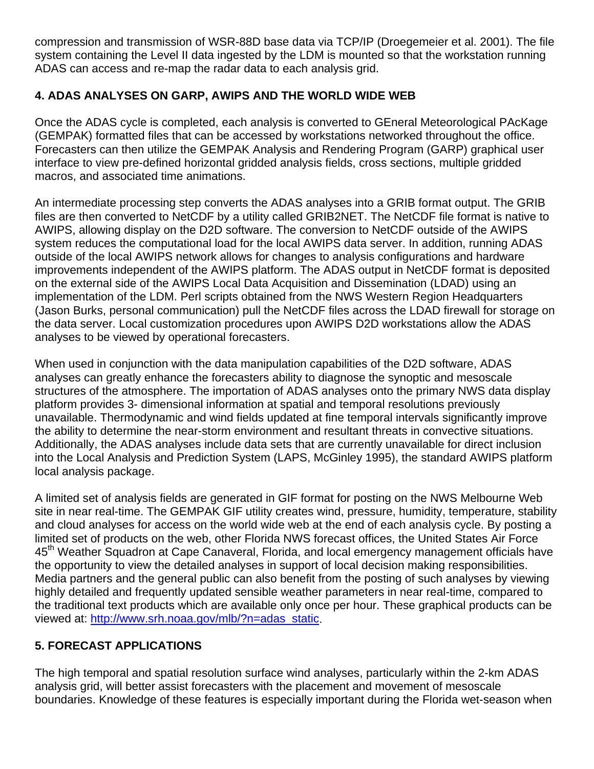compression and transmission of WSR-88D base data via TCP/IP (Droegemeier et al. 2001). The file system containing the Level II data ingested by the LDM is mounted so that the workstation running ADAS can access and re-map the radar data to each analysis grid.

## **4. ADAS ANALYSES ON GARP, AWIPS AND THE WORLD WIDE WEB**

Once the ADAS cycle is completed, each analysis is converted to GEneral Meteorological PAcKage (GEMPAK) formatted files that can be accessed by workstations networked throughout the office. Forecasters can then utilize the GEMPAK Analysis and Rendering Program (GARP) graphical user interface to view pre-defined horizontal gridded analysis fields, cross sections, multiple gridded macros, and associated time animations.

An intermediate processing step converts the ADAS analyses into a GRIB format output. The GRIB files are then converted to NetCDF by a utility called GRIB2NET. The NetCDF file format is native to AWIPS, allowing display on the D2D software. The conversion to NetCDF outside of the AWIPS system reduces the computational load for the local AWIPS data server. In addition, running ADAS outside of the local AWIPS network allows for changes to analysis configurations and hardware improvements independent of the AWIPS platform. The ADAS output in NetCDF format is deposited on the external side of the AWIPS Local Data Acquisition and Dissemination (LDAD) using an implementation of the LDM. Perl scripts obtained from the NWS Western Region Headquarters (Jason Burks, personal communication) pull the NetCDF files across the LDAD firewall for storage on the data server. Local customization procedures upon AWIPS D2D workstations allow the ADAS analyses to be viewed by operational forecasters.

When used in conjunction with the data manipulation capabilities of the D2D software, ADAS analyses can greatly enhance the forecasters ability to diagnose the synoptic and mesoscale structures of the atmosphere. The importation of ADAS analyses onto the primary NWS data display platform provides 3- dimensional information at spatial and temporal resolutions previously unavailable. Thermodynamic and wind fields updated at fine temporal intervals significantly improve the ability to determine the near-storm environment and resultant threats in convective situations. Additionally, the ADAS analyses include data sets that are currently unavailable for direct inclusion into the Local Analysis and Prediction System (LAPS, McGinley 1995), the standard AWIPS platform local analysis package.

A limited set of analysis fields are generated in GIF format for posting on the NWS Melbourne Web site in near real-time. The GEMPAK GIF utility creates wind, pressure, humidity, temperature, stability and cloud analyses for access on the world wide web at the end of each analysis cycle. By posting a limited set of products on the web, other Florida NWS forecast offices, the United States Air Force 45<sup>th</sup> Weather Squadron at Cape Canaveral, Florida, and local emergency management officials have the opportunity to view the detailed analyses in support of local decision making responsibilities. Media partners and the general public can also benefit from the posting of such analyses by viewing highly detailed and frequently updated sensible weather parameters in near real-time, compared to the traditional text products which are available only once per hour. These graphical products can be viewed at: http://www.srh.noaa.gov/mlb/?n=adas\_static.

## **5. FORECAST APPLICATIONS**

The high temporal and spatial resolution surface wind analyses, particularly within the 2-km ADAS analysis grid, will better assist forecasters with the placement and movement of mesoscale boundaries. Knowledge of these features is especially important during the Florida wet-season when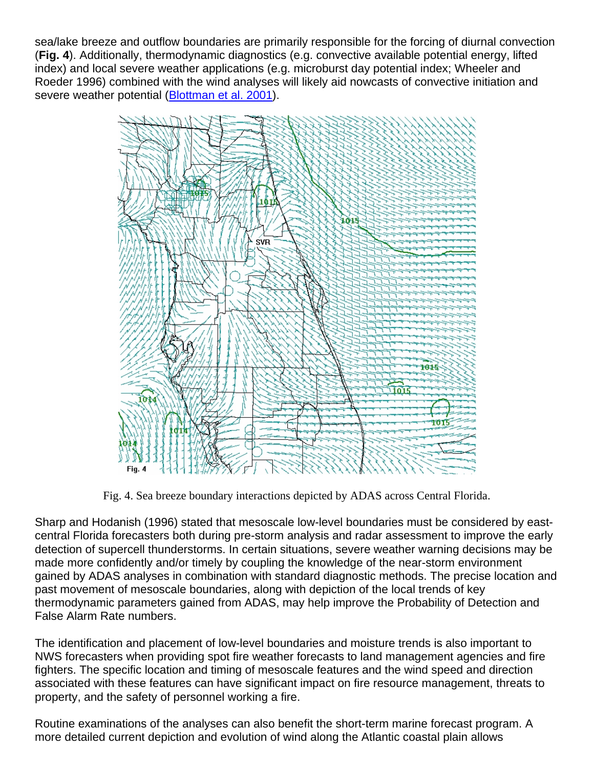sea/lake breeze and outflow boundaries are primarily responsible for the forcing of diurnal convection (**Fig. 4**). Additionally, thermodynamic diagnostics (e.g. convective available potential energy, lifted index) and local severe weather applications (e.g. microburst day potential index; Wheeler and Roeder 1996) combined with the wind analyses will likely aid nowcasts of convective initiation and severe weather potential (Blottman et al. 2001).



Fig. 4. Sea breeze boundary interactions depicted by ADAS across Central Florida.

Sharp and Hodanish (1996) stated that mesoscale low-level boundaries must be considered by eastcentral Florida forecasters both during pre-storm analysis and radar assessment to improve the early detection of supercell thunderstorms. In certain situations, severe weather warning decisions may be made more confidently and/or timely by coupling the knowledge of the near-storm environment gained by ADAS analyses in combination with standard diagnostic methods. The precise location and past movement of mesoscale boundaries, along with depiction of the local trends of key thermodynamic parameters gained from ADAS, may help improve the Probability of Detection and False Alarm Rate numbers.

The identification and placement of low-level boundaries and moisture trends is also important to NWS forecasters when providing spot fire weather forecasts to land management agencies and fire fighters. The specific location and timing of mesoscale features and the wind speed and direction associated with these features can have significant impact on fire resource management, threats to property, and the safety of personnel working a fire.

Routine examinations of the analyses can also benefit the short-term marine forecast program. A more detailed current depiction and evolution of wind along the Atlantic coastal plain allows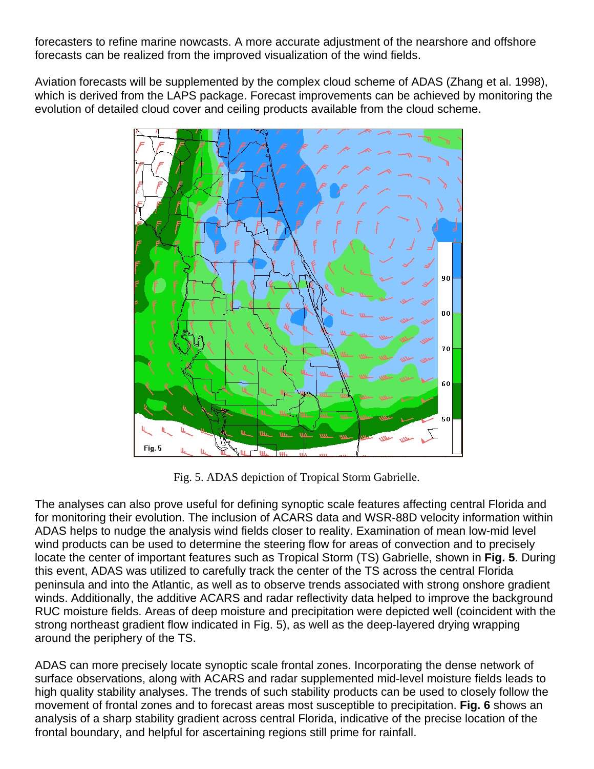forecasters to refine marine nowcasts. A more accurate adjustment of the nearshore and offshore forecasts can be realized from the improved visualization of the wind fields.

Aviation forecasts will be supplemented by the complex cloud scheme of ADAS (Zhang et al. 1998), which is derived from the LAPS package. Forecast improvements can be achieved by monitoring the evolution of detailed cloud cover and ceiling products available from the cloud scheme.



Fig. 5. ADAS depiction of Tropical Storm Gabrielle.

The analyses can also prove useful for defining synoptic scale features affecting central Florida and for monitoring their evolution. The inclusion of ACARS data and WSR-88D velocity information within ADAS helps to nudge the analysis wind fields closer to reality. Examination of mean low-mid level wind products can be used to determine the steering flow for areas of convection and to precisely locate the center of important features such as Tropical Storm (TS) Gabrielle, shown in **Fig. 5**. During this event, ADAS was utilized to carefully track the center of the TS across the central Florida peninsula and into the Atlantic, as well as to observe trends associated with strong onshore gradient winds. Additionally, the additive ACARS and radar reflectivity data helped to improve the background RUC moisture fields. Areas of deep moisture and precipitation were depicted well (coincident with the strong northeast gradient flow indicated in Fig. 5), as well as the deep-layered drying wrapping around the periphery of the TS.

ADAS can more precisely locate synoptic scale frontal zones. Incorporating the dense network of surface observations, along with ACARS and radar supplemented mid-level moisture fields leads to high quality stability analyses. The trends of such stability products can be used to closely follow the movement of frontal zones and to forecast areas most susceptible to precipitation. **Fig. 6** shows an analysis of a sharp stability gradient across central Florida, indicative of the precise location of the frontal boundary, and helpful for ascertaining regions still prime for rainfall.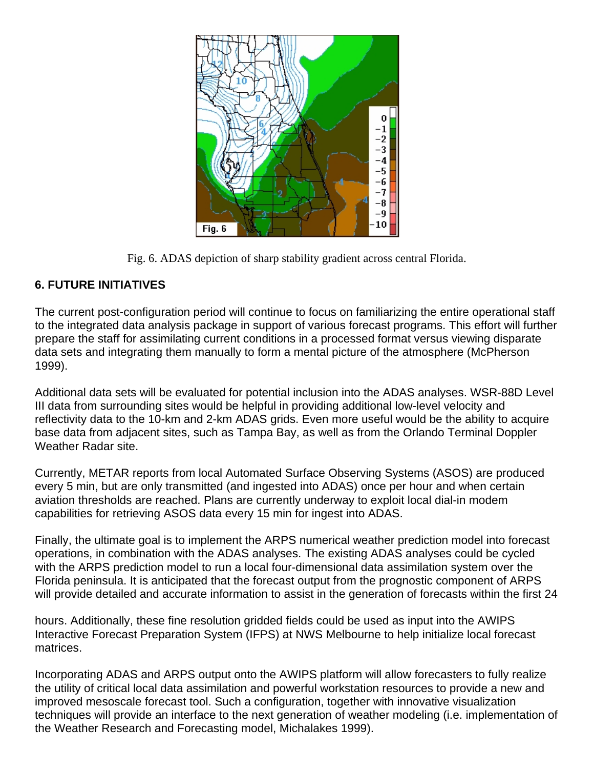

Fig. 6. ADAS depiction of sharp stability gradient across central Florida.

#### **6. FUTURE INITIATIVES**

The current post-configuration period will continue to focus on familiarizing the entire operational staff to the integrated data analysis package in support of various forecast programs. This effort will further prepare the staff for assimilating current conditions in a processed format versus viewing disparate data sets and integrating them manually to form a mental picture of the atmosphere (McPherson 1999).

Additional data sets will be evaluated for potential inclusion into the ADAS analyses. WSR-88D Level III data from surrounding sites would be helpful in providing additional low-level velocity and reflectivity data to the 10-km and 2-km ADAS grids. Even more useful would be the ability to acquire base data from adjacent sites, such as Tampa Bay, as well as from the Orlando Terminal Doppler Weather Radar site.

Currently, METAR reports from local Automated Surface Observing Systems (ASOS) are produced every 5 min, but are only transmitted (and ingested into ADAS) once per hour and when certain aviation thresholds are reached. Plans are currently underway to exploit local dial-in modem capabilities for retrieving ASOS data every 15 min for ingest into ADAS.

Finally, the ultimate goal is to implement the ARPS numerical weather prediction model into forecast operations, in combination with the ADAS analyses. The existing ADAS analyses could be cycled with the ARPS prediction model to run a local four-dimensional data assimilation system over the Florida peninsula. It is anticipated that the forecast output from the prognostic component of ARPS will provide detailed and accurate information to assist in the generation of forecasts within the first 24

hours. Additionally, these fine resolution gridded fields could be used as input into the AWIPS Interactive Forecast Preparation System (IFPS) at NWS Melbourne to help initialize local forecast matrices.

Incorporating ADAS and ARPS output onto the AWIPS platform will allow forecasters to fully realize the utility of critical local data assimilation and powerful workstation resources to provide a new and improved mesoscale forecast tool. Such a configuration, together with innovative visualization techniques will provide an interface to the next generation of weather modeling (i.e. implementation of the Weather Research and Forecasting model, Michalakes 1999).